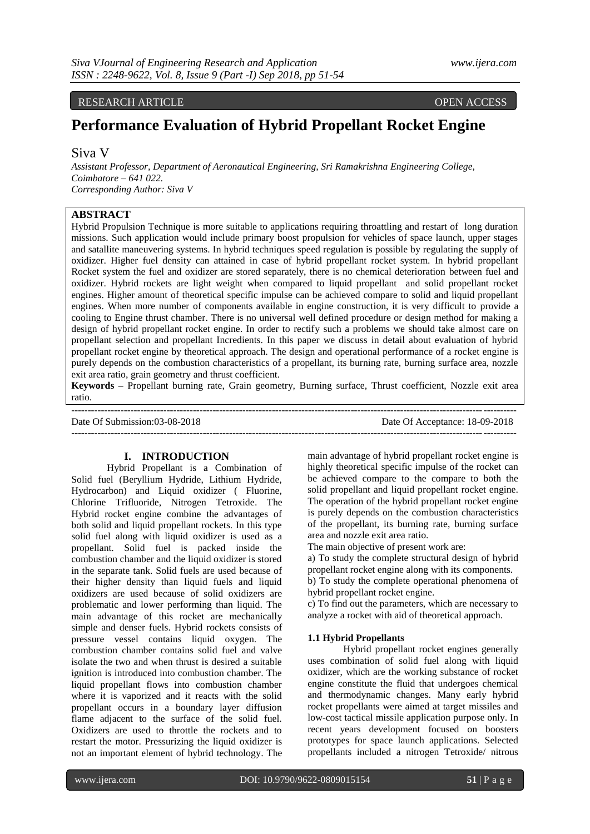RESEARCH ARTICLE OPEN ACCESS

# **Performance Evaluation of Hybrid Propellant Rocket Engine**

## Siva V

*Assistant Professor, Department of Aeronautical Engineering, Sri Ramakrishna Engineering College, Coimbatore – 641 022. Corresponding Author: Siva V*

## **ABSTRACT**

Hybrid Propulsion Technique is more suitable to applications requiring throattling and restart of long duration missions. Such application would include primary boost propulsion for vehicles of space launch, upper stages and satallite maneuvering systems. In hybrid techniques speed regulation is possible by regulating the supply of oxidizer. Higher fuel density can attained in case of hybrid propellant rocket system. In hybrid propellant Rocket system the fuel and oxidizer are stored separately, there is no chemical deterioration between fuel and oxidizer. Hybrid rockets are light weight when compared to liquid propellant and solid propellant rocket engines. Higher amount of theoretical specific impulse can be achieved compare to solid and liquid propellant engines. When more number of components available in engine construction, it is very difficult to provide a cooling to Engine thrust chamber. There is no universal well defined procedure or design method for making a design of hybrid propellant rocket engine. In order to rectify such a problems we should take almost care on propellant selection and propellant Incredients. In this paper we discuss in detail about evaluation of hybrid propellant rocket engine by theoretical approach. The design and operational performance of a rocket engine is purely depends on the combustion characteristics of a propellant, its burning rate, burning surface area, nozzle exit area ratio, grain geometry and thrust coefficient.

**Keywords –** Propellant burning rate, Grain geometry, Burning surface, Thrust coefficient, Nozzle exit area ratio. ---------------------------------------------------------------------------------------------------------------------------------------

Date Of Submission:03-08-2018 Date Of Acceptance: 18-09-2018

 $-1\leq i\leq n-1\leq n-1\leq n-1\leq n-1\leq n-1\leq n-1\leq n-1\leq n-1\leq n-1\leq n-1\leq n-1\leq n-1\leq n-1\leq n-1\leq n-1\leq n-1\leq n-1\leq n-1\leq n-1\leq n-1\leq n-1\leq n-1\leq n-1\leq n-1\leq n-1\leq n-1\leq n-1\leq n-1\leq n-1\leq n-1\leq n-1\leq n-1\leq n-1\leq n-1\leq n-1\leq n$ 

## **I. INTRODUCTION**

Hybrid Propellant is a Combination of Solid fuel (Beryllium Hydride, Lithium Hydride, Hydrocarbon) and Liquid oxidizer ( Fluorine, Chlorine Trifluoride, Nitrogen Tetroxide. The Hybrid rocket engine combine the advantages of both solid and liquid propellant rockets. In this type solid fuel along with liquid oxidizer is used as a propellant. Solid fuel is packed inside the combustion chamber and the liquid oxidizer is stored in the separate tank. Solid fuels are used because of their higher density than liquid fuels and liquid oxidizers are used because of solid oxidizers are problematic and lower performing than liquid. The main advantage of this rocket are mechanically simple and denser fuels. Hybrid rockets consists of pressure vessel contains liquid oxygen. The combustion chamber contains solid fuel and valve isolate the two and when thrust is desired a suitable ignition is introduced into combustion chamber. The liquid propellant flows into combustion chamber where it is vaporized and it reacts with the solid propellant occurs in a boundary layer diffusion flame adjacent to the surface of the solid fuel. Oxidizers are used to throttle the rockets and to restart the motor. Pressurizing the liquid oxidizer is not an important element of hybrid technology. The

main advantage of hybrid propellant rocket engine is highly theoretical specific impulse of the rocket can be achieved compare to the compare to both the solid propellant and liquid propellant rocket engine. The operation of the hybrid propellant rocket engine is purely depends on the combustion characteristics of the propellant, its burning rate, burning surface area and nozzle exit area ratio.

The main objective of present work are:

a) To study the complete structural design of hybrid propellant rocket engine along with its components.

b) To study the complete operational phenomena of hybrid propellant rocket engine.

c) To find out the parameters, which are necessary to analyze a rocket with aid of theoretical approach.

#### **1.1 Hybrid Propellants**

Hybrid propellant rocket engines generally uses combination of solid fuel along with liquid oxidizer, which are the working substance of rocket engine constitute the fluid that undergoes chemical and thermodynamic changes. Many early hybrid rocket propellants were aimed at target missiles and low-cost tactical missile application purpose only. In recent years development focused on boosters prototypes for space launch applications. Selected propellants included a nitrogen Tetroxide/ nitrous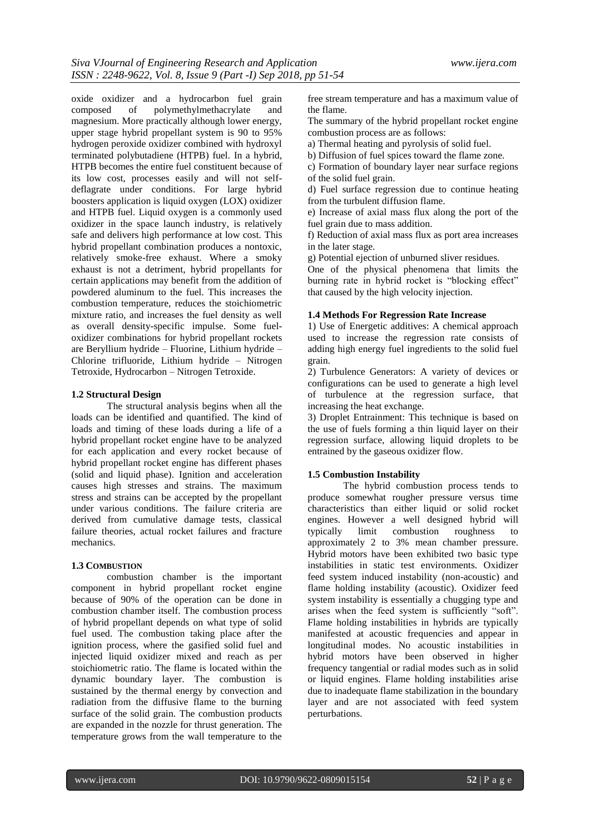oxide oxidizer and a hydrocarbon fuel grain<br>composed of polymethylmethacrylate and composed of polymethylmethacrylate magnesium. More practically although lower energy, upper stage hybrid propellant system is 90 to 95% hydrogen peroxide oxidizer combined with hydroxyl terminated polybutadiene (HTPB) fuel. In a hybrid, HTPB becomes the entire fuel constituent because of its low cost, processes easily and will not selfdeflagrate under conditions. For large hybrid boosters application is liquid oxygen (LOX) oxidizer and HTPB fuel. Liquid oxygen is a commonly used oxidizer in the space launch industry, is relatively safe and delivers high performance at low cost. This hybrid propellant combination produces a nontoxic, relatively smoke-free exhaust. Where a smoky exhaust is not a detriment, hybrid propellants for certain applications may benefit from the addition of powdered aluminum to the fuel. This increases the combustion temperature, reduces the stoichiometric mixture ratio, and increases the fuel density as well as overall density-specific impulse. Some fueloxidizer combinations for hybrid propellant rockets are Beryllium hydride – Fluorine, Lithium hydride – Chlorine trifluoride, Lithium hydride – Nitrogen Tetroxide, Hydrocarbon – Nitrogen Tetroxide.

## **1.2 Structural Design**

The structural analysis begins when all the loads can be identified and quantified. The kind of loads and timing of these loads during a life of a hybrid propellant rocket engine have to be analyzed for each application and every rocket because of hybrid propellant rocket engine has different phases (solid and liquid phase). Ignition and acceleration causes high stresses and strains. The maximum stress and strains can be accepted by the propellant under various conditions. The failure criteria are derived from cumulative damage tests, classical failure theories, actual rocket failures and fracture mechanics.

## **1.3 COMBUSTION**

combustion chamber is the important component in hybrid propellant rocket engine because of 90% of the operation can be done in combustion chamber itself. The combustion process of hybrid propellant depends on what type of solid fuel used. The combustion taking place after the ignition process, where the gasified solid fuel and injected liquid oxidizer mixed and reach as per stoichiometric ratio. The flame is located within the dynamic boundary layer. The combustion is sustained by the thermal energy by convection and radiation from the diffusive flame to the burning surface of the solid grain. The combustion products are expanded in the nozzle for thrust generation. The temperature grows from the wall temperature to the

free stream temperature and has a maximum value of the flame.

The summary of the hybrid propellant rocket engine combustion process are as follows:

a) Thermal heating and pyrolysis of solid fuel.

b) Diffusion of fuel spices toward the flame zone.

c) Formation of boundary layer near surface regions of the solid fuel grain.

d) Fuel surface regression due to continue heating from the turbulent diffusion flame.

e) Increase of axial mass flux along the port of the fuel grain due to mass addition.

f) Reduction of axial mass flux as port area increases in the later stage.

g) Potential ejection of unburned sliver residues.

One of the physical phenomena that limits the burning rate in hybrid rocket is "blocking effect" that caused by the high velocity injection.

## **1.4 Methods For Regression Rate Increase**

1) Use of Energetic additives: A chemical approach used to increase the regression rate consists of adding high energy fuel ingredients to the solid fuel grain.

2) Turbulence Generators: A variety of devices or configurations can be used to generate a high level of turbulence at the regression surface, that increasing the heat exchange.

3) Droplet Entrainment: This technique is based on the use of fuels forming a thin liquid layer on their regression surface, allowing liquid droplets to be entrained by the gaseous oxidizer flow.

## **1.5 Combustion Instability**

The hybrid combustion process tends to produce somewhat rougher pressure versus time characteristics than either liquid or solid rocket engines. However a well designed hybrid will typically limit combustion roughness to approximately 2 to 3% mean chamber pressure. Hybrid motors have been exhibited two basic type instabilities in static test environments. Oxidizer feed system induced instability (non-acoustic) and flame holding instability (acoustic). Oxidizer feed system instability is essentially a chugging type and arises when the feed system is sufficiently "soft". Flame holding instabilities in hybrids are typically manifested at acoustic frequencies and appear in longitudinal modes. No acoustic instabilities in hybrid motors have been observed in higher frequency tangential or radial modes such as in solid or liquid engines. Flame holding instabilities arise due to inadequate flame stabilization in the boundary layer and are not associated with feed system perturbations.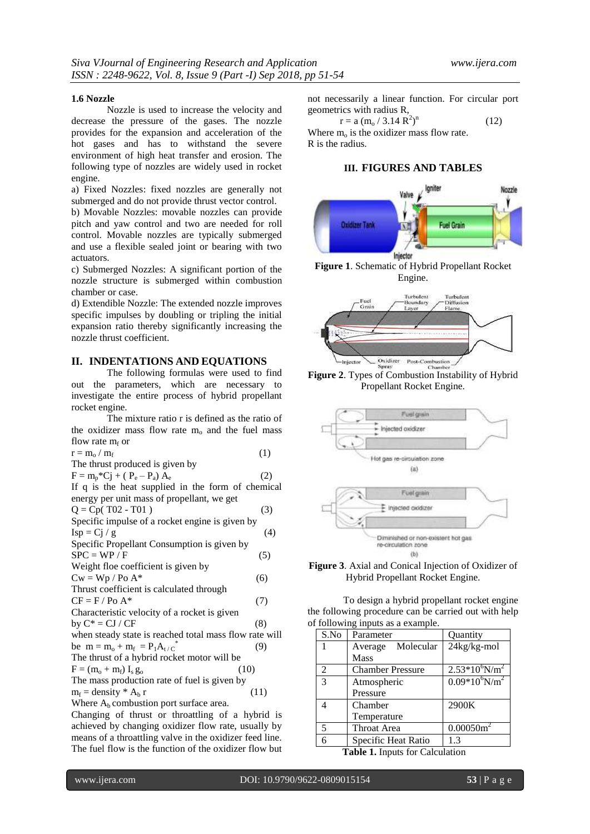#### **1.6 Nozzle**

Nozzle is used to increase the velocity and decrease the pressure of the gases. The nozzle provides for the expansion and acceleration of the hot gases and has to withstand the severe environment of high heat transfer and erosion. The following type of nozzles are widely used in rocket engine.

a) Fixed Nozzles: fixed nozzles are generally not submerged and do not provide thrust vector control.

b) Movable Nozzles: movable nozzles can provide pitch and yaw control and two are needed for roll control. Movable nozzles are typically submerged and use a flexible sealed joint or bearing with two actuators.

c) Submerged Nozzles: A significant portion of the nozzle structure is submerged within combustion chamber or case.

d) Extendible Nozzle: The extended nozzle improves specific impulses by doubling or tripling the initial expansion ratio thereby significantly increasing the nozzle thrust coefficient.

#### **II. INDENTATIONS AND EQUATIONS**

The following formulas were used to find out the parameters, which are necessary to investigate the entire process of hybrid propellant rocket engine.

The mixture ratio r is defined as the ratio of the oxidizer mass flow rate  $m<sub>o</sub>$  and the fuel mass flow rate  $m_f$  or

| $r = m_{\rm o} / m_{\rm f}$     |  |
|---------------------------------|--|
| The thrust produced is given by |  |

| $F = m_p * Cj + (P_e - P_a) A_e$ |  | (2) |
|----------------------------------|--|-----|

If q is the heat supplied in the form of chemical energy per unit mass of propellant, we get

| $Q = Cp(T02 - T01)$ |  |
|---------------------|--|

| Specific impulse of a rocket engine is given by        |     |
|--------------------------------------------------------|-----|
| $\text{Isp} = \text{Cj}/\text{g}$                      | (4) |
| Specific Propellant Consumption is given by            |     |
| $SPC = WP / F$                                         | (5) |
| Weight floe coefficient is given by                    |     |
| $Cw = Wp / Po A^*$                                     | (6) |
| Thrust coefficient is calculated through               |     |
| $CF = F / Po A*$                                       | (7) |
| Characteristic velocity of a rocket is given           |     |
| by $C^* = CI / CF$                                     | (8) |
| when steady state is reached total mass flow rate will |     |
| be $m = m_0 + m_f = P_1 A_{t/C}$                       | (9) |
| The thrust of a hybrid rocket motor will be            |     |
| $F = (m_o + m_f) I_s g_o$<br>(10)                      |     |
| The mass production rate of fuel is given by           |     |
|                                                        |     |

 $m_f =$  density  $* A_b r$  (11) Where  $A<sub>b</sub>$  combustion port surface area.

Changing of thrust or throattling of a hybrid is achieved by changing oxidizer flow rate, usually by means of a throattling valve in the oxidizer feed line. The fuel flow is the function of the oxidizer flow but not necessarily a linear function. For circular port geometrics with radius R,

 $r = a (m_o / 3.14 R^2)^n$  (12) Where  $m_0$  is the oxidizer mass flow rate. R is the radius.

#### **III. FIGURES AND TABLES**







Propellant Rocket Engine.



**Figure 3**. Axial and Conical Injection of Oxidizer of Hybrid Propellant Rocket Engine.

To design a hybrid propellant rocket engine the following procedure can be carried out with help of following inputs as a example.

| Parameter               | Quantity                     |
|-------------------------|------------------------------|
| Average Molecular       | 24kg/kg-mol                  |
| Mass                    |                              |
| <b>Chamber Pressure</b> | $2.53*10^6$ N/m <sup>2</sup> |
| Atmospheric             | $0.09*10^6$ N/m <sup>2</sup> |
| Pressure                |                              |
| Chamber                 | 2900K                        |
| Temperature             |                              |
| Throat Area             | $\overline{0.00050m^2}$      |
| Specific Heat Ratio     | 1.3                          |
|                         | .                            |

 **Table 1.** Inputs for Calculation